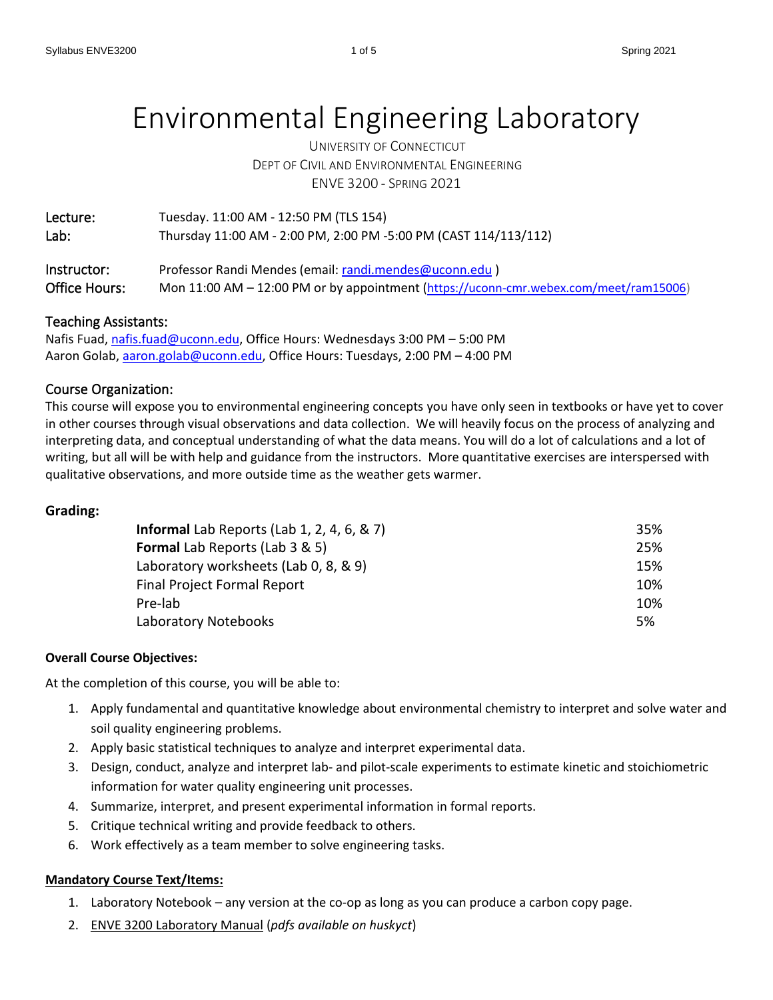# Environmental Engineering Laboratory

UNIVERSITY OF CONNECTICUT DEPT OF CIVIL AND ENVIRONMENTAL ENGINEERING ENVE 3200 - SPRING 2021

| Lecture:      | Tuesday. 11:00 AM - 12:50 PM (TLS 154)                                                |
|---------------|---------------------------------------------------------------------------------------|
| Lab:          | Thursday 11:00 AM - 2:00 PM, 2:00 PM -5:00 PM (CAST 114/113/112)                      |
|               |                                                                                       |
| Instructor:   | Professor Randi Mendes (email: randi.mendes@uconn.edu)                                |
| Office Hours: | Mon 11:00 AM - 12:00 PM or by appointment (https://uconn-cmr.webex.com/meet/ram15006) |

## Teaching Assistants:

Nafis Fuad, [nafis.fuad@uconn.edu,](mailto:nafis.fuad@uconn.edu) Office Hours: Wednesdays 3:00 PM - 5:00 PM Aaron Golab, [aaron.golab@uconn.edu,](mailto:aaron.golab@uconn.edu) Office Hours: Tuesdays, 2:00 PM – 4:00 PM

# Course Organization:

This course will expose you to environmental engineering concepts you have only seen in textbooks or have yet to cover in other courses through visual observations and data collection. We will heavily focus on the process of analyzing and interpreting data, and conceptual understanding of what the data means. You will do a lot of calculations and a lot of writing, but all will be with help and guidance from the instructors. More quantitative exercises are interspersed with qualitative observations, and more outside time as the weather gets warmer.

#### **Grading:**

| <b>Informal</b> Lab Reports (Lab 1, 2, 4, 6, $\&$ 7) | 35% |
|------------------------------------------------------|-----|
| <b>Formal Lab Reports (Lab 3 &amp; 5)</b>            | 25% |
| Laboratory worksheets (Lab 0, 8, & 9)                | 15% |
| <b>Final Project Formal Report</b>                   | 10% |
| Pre-lab                                              | 10% |
| Laboratory Notebooks                                 | 5%  |

#### **Overall Course Objectives:**

At the completion of this course, you will be able to:

- 1. Apply fundamental and quantitative knowledge about environmental chemistry to interpret and solve water and soil quality engineering problems.
- 2. Apply basic statistical techniques to analyze and interpret experimental data.
- 3. Design, conduct, analyze and interpret lab- and pilot-scale experiments to estimate kinetic and stoichiometric information for water quality engineering unit processes.
- 4. Summarize, interpret, and present experimental information in formal reports.
- 5. Critique technical writing and provide feedback to others.
- 6. Work effectively as a team member to solve engineering tasks.

#### **Mandatory Course Text/Items:**

- 1. Laboratory Notebook any version at the co-op as long as you can produce a carbon copy page.
- 2. ENVE 3200 Laboratory Manual (*pdfs available on huskyct*)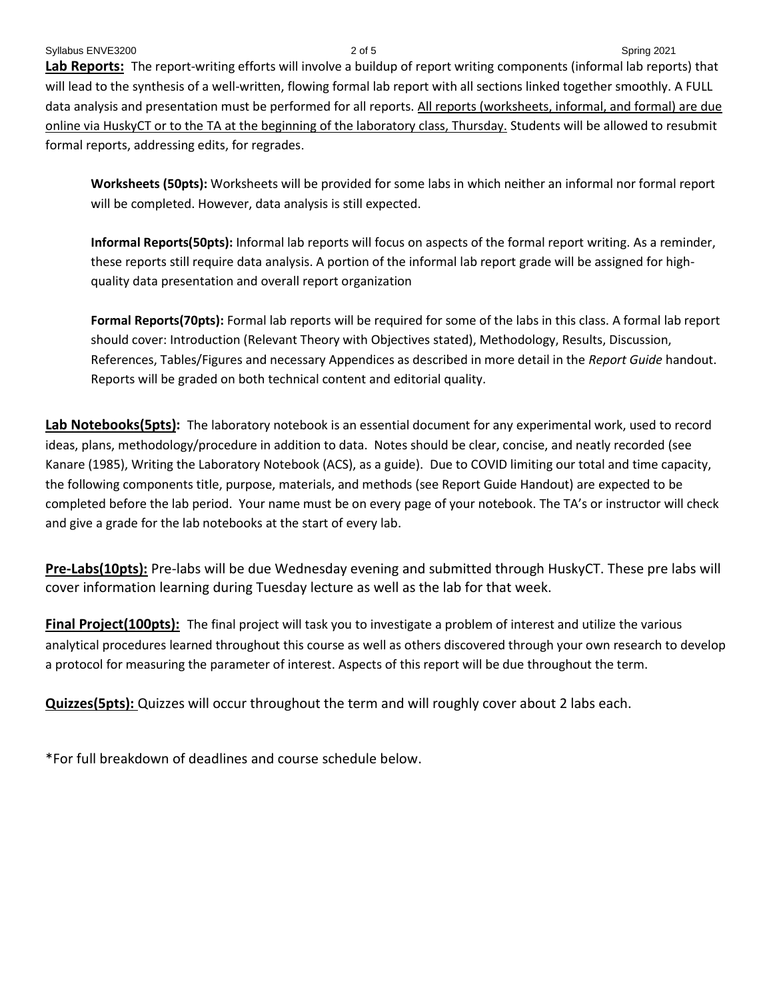Syllabus ENVE3200 3021 2 of 5 Spring 2021 **Lab Reports:** The report-writing efforts will involve a buildup of report writing components (informal lab reports) that will lead to the synthesis of a well-written, flowing formal lab report with all sections linked together smoothly. A FULL data analysis and presentation must be performed for all reports. All reports (worksheets, informal, and formal) are due online via HuskyCT or to the TA at the beginning of the laboratory class, Thursday. Students will be allowed to resubmit formal reports, addressing edits, for regrades.

**Worksheets (50pts):** Worksheets will be provided for some labs in which neither an informal nor formal report will be completed. However, data analysis is still expected.

**Informal Reports(50pts):** Informal lab reports will focus on aspects of the formal report writing. As a reminder, these reports still require data analysis. A portion of the informal lab report grade will be assigned for highquality data presentation and overall report organization

**Formal Reports(70pts):** Formal lab reports will be required for some of the labs in this class. A formal lab report should cover: Introduction (Relevant Theory with Objectives stated), Methodology, Results, Discussion, References, Tables/Figures and necessary Appendices as described in more detail in the *Report Guide* handout. Reports will be graded on both technical content and editorial quality.

**Lab Notebooks(5pts):** The laboratory notebook is an essential document for any experimental work, used to record ideas, plans, methodology/procedure in addition to data. Notes should be clear, concise, and neatly recorded (see Kanare (1985), Writing the Laboratory Notebook (ACS), as a guide). Due to COVID limiting our total and time capacity, the following components title, purpose, materials, and methods (see Report Guide Handout) are expected to be completed before the lab period. Your name must be on every page of your notebook. The TA's or instructor will check and give a grade for the lab notebooks at the start of every lab.

**Pre-Labs(10pts):** Pre-labs will be due Wednesday evening and submitted through HuskyCT. These pre labs will cover information learning during Tuesday lecture as well as the lab for that week.

**Final Project(100pts):** The final project will task you to investigate a problem of interest and utilize the various analytical procedures learned throughout this course as well as others discovered through your own research to develop a protocol for measuring the parameter of interest. Aspects of this report will be due throughout the term.

**Quizzes(5pts):** Quizzes will occur throughout the term and will roughly cover about 2 labs each.

\*For full breakdown of deadlines and course schedule below.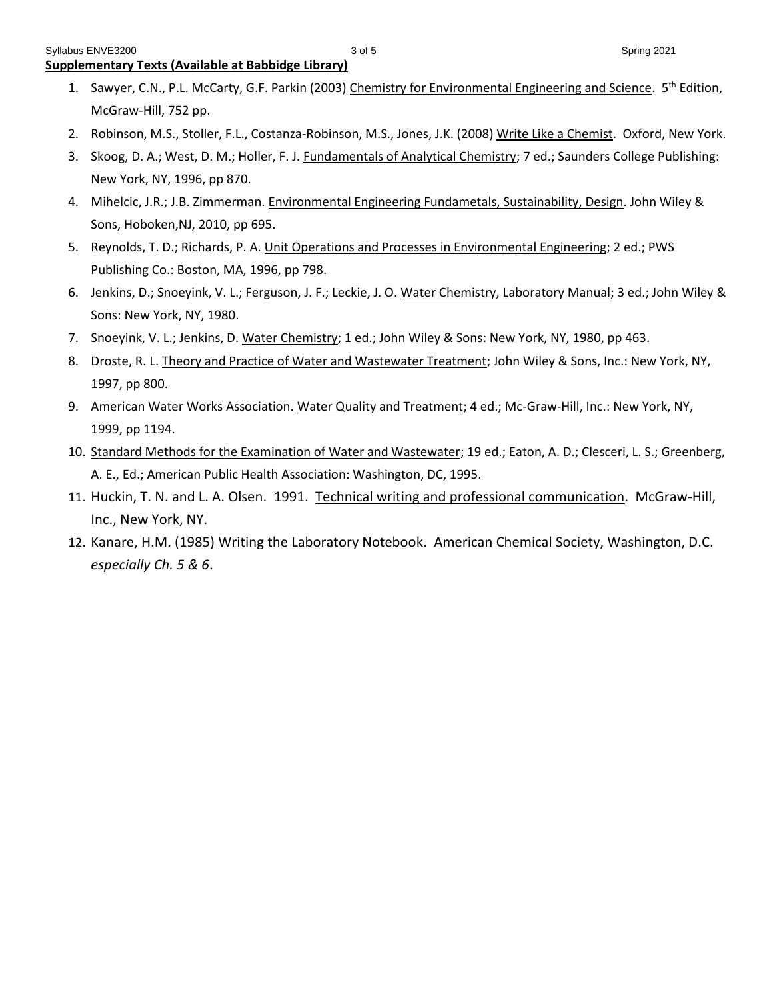- 1. Sawyer, C.N., P.L. McCarty, G.F. Parkin (2003) Chemistry for Environmental Engineering and Science. 5<sup>th</sup> Edition, McGraw-Hill, 752 pp.
- 2. Robinson, M.S., Stoller, F.L., Costanza-Robinson, M.S., Jones, J.K. (2008) Write Like a Chemist. Oxford, New York.
- 3. Skoog, D. A.; West, D. M.; Holler, F. J. *Fundamentals of Analytical Chemistry*; 7 ed.; Saunders College Publishing: New York, NY, 1996, pp 870.
- 4. Mihelcic, J.R.; J.B. Zimmerman. Environmental Engineering Fundametals, Sustainability, Design. John Wiley & Sons, Hoboken,NJ, 2010, pp 695.
- 5. Reynolds, T. D.; Richards, P. A. Unit Operations and Processes in Environmental Engineering; 2 ed.; PWS Publishing Co.: Boston, MA, 1996, pp 798.
- 6. Jenkins, D.; Snoeyink, V. L.; Ferguson, J. F.; Leckie, J. O. Water Chemistry, Laboratory Manual; 3 ed.; John Wiley & Sons: New York, NY, 1980.
- 7. Snoeyink, V. L.; Jenkins, D. Water Chemistry; 1 ed.; John Wiley & Sons: New York, NY, 1980, pp 463.
- 8. Droste, R. L. Theory and Practice of Water and Wastewater Treatment; John Wiley & Sons, Inc.: New York, NY, 1997, pp 800.
- 9. American Water Works Association. Water Quality and Treatment; 4 ed.; Mc-Graw-Hill, Inc.: New York, NY, 1999, pp 1194.
- 10. Standard Methods for the Examination of Water and Wastewater; 19 ed.; Eaton, A. D.; Clesceri, L. S.; Greenberg, A. E., Ed.; American Public Health Association: Washington, DC, 1995.
- 11. Huckin, T. N. and L. A. Olsen. 1991. Technical writing and professional communication. McGraw-Hill, Inc., New York, NY.
- 12. Kanare, H.M. (1985) Writing the Laboratory Notebook. American Chemical Society, Washington, D.C. *especially Ch. 5 & 6*.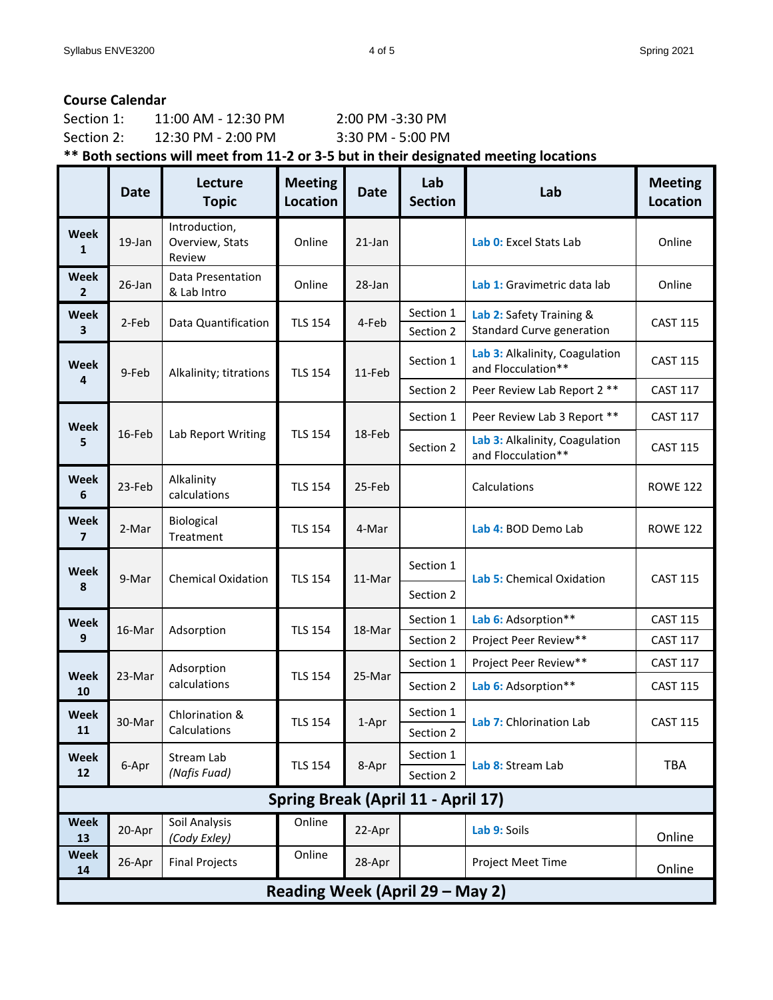# **Course Calendar**

| Section 1:   | 11:00 AM - 12:30 PM                  | $2:00$ PM $-3:30$ PM |
|--------------|--------------------------------------|----------------------|
| Section 2:   | $12:30 \text{ PM} - 2:00 \text{ PM}$ | 3:30 PM - 5:00 PM    |
| $\mathbf{a}$ |                                      | _ _ . _              |

**\*\* Both sections will meet from 11-2 or 3-5 but in their designated meeting locations**

|                                        | <b>Date</b> | Lecture<br><b>Topic</b>                    | <b>Meeting</b><br><b>Location</b>  | <b>Date</b> | Lab<br><b>Section</b>  | Lab                                                          | <b>Meeting</b><br><b>Location</b> |  |
|----------------------------------------|-------------|--------------------------------------------|------------------------------------|-------------|------------------------|--------------------------------------------------------------|-----------------------------------|--|
| Week<br>1                              | 19-Jan      | Introduction,<br>Overview, Stats<br>Review | Online                             | $21$ -Jan   |                        | Lab 0: Excel Stats Lab                                       | Online                            |  |
| <b>Week</b><br>$\overline{2}$          | 26-Jan      | Data Presentation<br>& Lab Intro           | Online                             | 28-Jan      |                        | Lab 1: Gravimetric data lab                                  | Online                            |  |
| <b>Week</b><br>3                       | 2-Feb       | Data Quantification                        | <b>TLS 154</b>                     | 4-Feb       | Section 1<br>Section 2 | Lab 2: Safety Training &<br><b>Standard Curve generation</b> | <b>CAST 115</b>                   |  |
| Week                                   | 9-Feb       | Alkalinity; titrations                     | <b>TLS 154</b>                     | 11-Feb      | Section 1              | Lab 3: Alkalinity, Coagulation<br>and Flocculation**         | <b>CAST 115</b>                   |  |
| 4                                      |             |                                            |                                    |             | Section 2              | Peer Review Lab Report 2 **                                  | <b>CAST 117</b>                   |  |
| <b>Week</b>                            |             | Lab Report Writing                         | <b>TLS 154</b>                     | 18-Feb      | Section 1              | Peer Review Lab 3 Report **                                  | <b>CAST 117</b>                   |  |
| 5                                      | 16-Feb      |                                            |                                    |             | Section 2              | Lab 3: Alkalinity, Coagulation<br>and Flocculation**         | <b>CAST 115</b>                   |  |
| <b>Week</b><br>6                       | 23-Feb      | Alkalinity<br>calculations                 | <b>TLS 154</b>                     | 25-Feb      |                        | Calculations                                                 | <b>ROWE 122</b>                   |  |
| <b>Week</b><br>$\overline{\mathbf{z}}$ | 2-Mar       | Biological<br>Treatment                    | <b>TLS 154</b>                     | 4-Mar       |                        | Lab 4: BOD Demo Lab                                          | <b>ROWE 122</b>                   |  |
| Week<br>8                              | 9-Mar       | <b>Chemical Oxidation</b>                  | <b>TLS 154</b>                     | 11-Mar      | Section 1<br>Section 2 | Lab 5: Chemical Oxidation                                    | <b>CAST 115</b>                   |  |
| <b>Week</b>                            |             |                                            |                                    |             | Section 1              | Lab 6: Adsorption**                                          | <b>CAST 115</b>                   |  |
| 9                                      | 16-Mar      | Adsorption                                 | <b>TLS 154</b>                     | 18-Mar      | Section 2              | Project Peer Review**                                        | <b>CAST 117</b>                   |  |
|                                        |             | Adsorption                                 |                                    |             | Section 1              | Project Peer Review**                                        | <b>CAST 117</b>                   |  |
| <b>Week</b><br>10                      | 23-Mar      | calculations                               | <b>TLS 154</b>                     | 25-Mar      | Section 2              | Lab 6: Adsorption**                                          | <b>CAST 115</b>                   |  |
| Week<br>11                             | 30-Mar      | Chlorination &<br>Calculations             | <b>TLS 154</b>                     | 1-Apr       | Section 1<br>Section 2 | Lab 7: Chlorination Lab                                      | <b>CAST 115</b>                   |  |
| Week<br>12                             | 6-Apr       | Stream Lab<br>(Nafis Fuad)                 | <b>TLS 154</b>                     | 8-Apr       | Section 1<br>Section 2 | Lab 8: Stream Lab                                            | TBA                               |  |
|                                        |             |                                            | Spring Break (April 11 - April 17) |             |                        |                                                              |                                   |  |
| <b>Week</b><br>13                      | 20-Apr      | Soil Analysis<br>(Cody Exley)              | Online                             | 22-Apr      |                        | Lab 9: Soils                                                 | Online                            |  |
| <b>Week</b><br>14                      | 26-Apr      | <b>Final Projects</b>                      | Online                             | 28-Apr      |                        | <b>Project Meet Time</b>                                     | Online                            |  |
| Reading Week (April 29 - May 2)        |             |                                            |                                    |             |                        |                                                              |                                   |  |